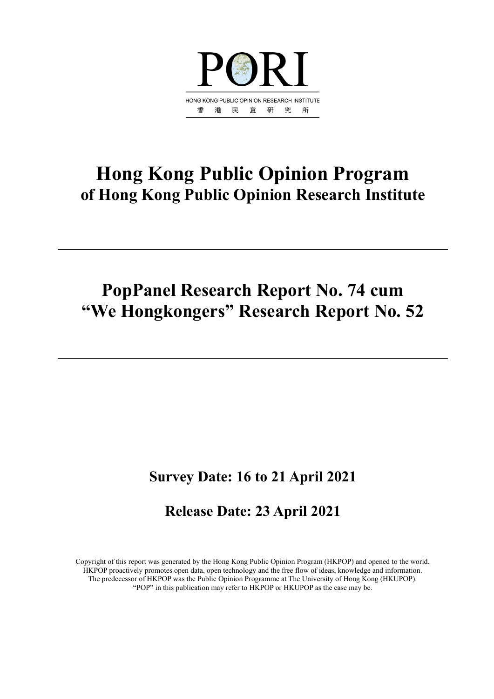

# **Hong Kong Public Opinion Program of Hong Kong Public Opinion Research Institute**

# **PopPanel Research Report No. 74 cum "We Hongkongers" Research Report No. 52**

# **Survey Date: 16 to 21 April 2021**

# **Release Date: 23 April 2021**

Copyright of this report was generated by the Hong Kong Public Opinion Program (HKPOP) and opened to the world. HKPOP proactively promotes open data, open technology and the free flow of ideas, knowledge and information. The predecessor of HKPOP was the Public Opinion Programme at The University of Hong Kong (HKUPOP). "POP" in this publication may refer to HKPOP or HKUPOP as the case may be.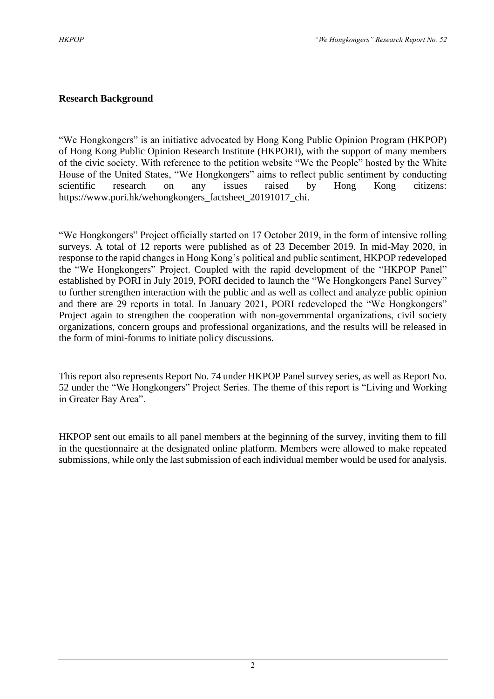#### **Research Background**

"We Hongkongers" is an initiative advocated by Hong Kong Public Opinion Program (HKPOP) of Hong Kong Public Opinion Research Institute (HKPORI), with the support of many members of the civic society. With reference to the petition website "We the People" hosted by the White House of the United States, "We Hongkongers" aims to reflect public sentiment by conducting scientific research on any issues raised by Hong Kong citizens: https://www.pori.hk/wehongkongers\_factsheet\_20191017\_chi.

"We Hongkongers" Project officially started on 17 October 2019, in the form of intensive rolling surveys. A total of 12 reports were published as of 23 December 2019. In mid-May 2020, in response to the rapid changes in Hong Kong's political and public sentiment, HKPOP redeveloped the "We Hongkongers" Project. Coupled with the rapid development of the "HKPOP Panel" established by PORI in July 2019, PORI decided to launch the "We Hongkongers Panel Survey" to further strengthen interaction with the public and as well as collect and analyze public opinion and there are 29 reports in total. In January 2021, PORI redeveloped the "We Hongkongers" Project again to strengthen the cooperation with non-governmental organizations, civil society organizations, concern groups and professional organizations, and the results will be released in the form of mini-forums to initiate policy discussions.

This report also represents Report No. 74 under HKPOP Panel survey series, as well as Report No. 52 under the "We Hongkongers" Project Series. The theme of this report is "Living and Working in Greater Bay Area".

HKPOP sent out emails to all panel members at the beginning of the survey, inviting them to fill in the questionnaire at the designated online platform. Members were allowed to make repeated submissions, while only the last submission of each individual member would be used for analysis.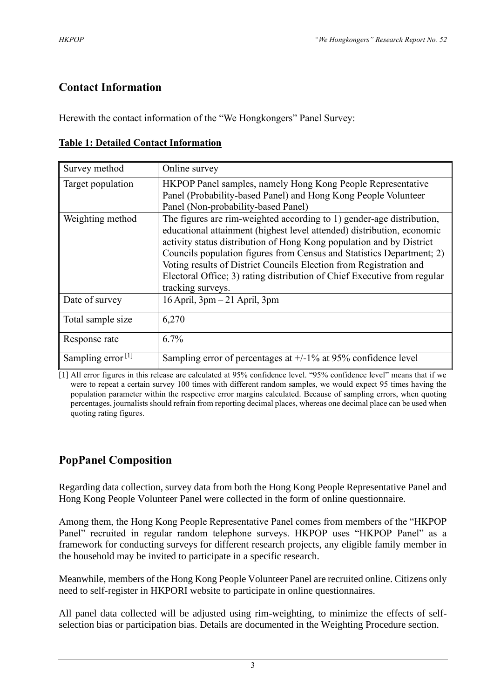# **Contact Information**

Herewith the contact information of the "We Hongkongers" Panel Survey:

|  |  | <b>Table 1: Detailed Contact Information</b> |
|--|--|----------------------------------------------|
|  |  |                                              |

| Survey method        | Online survey                                                                                                                                                                                                                                                                                                                                                                                                                                                           |
|----------------------|-------------------------------------------------------------------------------------------------------------------------------------------------------------------------------------------------------------------------------------------------------------------------------------------------------------------------------------------------------------------------------------------------------------------------------------------------------------------------|
| Target population    | HKPOP Panel samples, namely Hong Kong People Representative<br>Panel (Probability-based Panel) and Hong Kong People Volunteer<br>Panel (Non-probability-based Panel)                                                                                                                                                                                                                                                                                                    |
| Weighting method     | The figures are rim-weighted according to 1) gender-age distribution,<br>educational attainment (highest level attended) distribution, economic<br>activity status distribution of Hong Kong population and by District<br>Councils population figures from Census and Statistics Department; 2)<br>Voting results of District Councils Election from Registration and<br>Electoral Office; 3) rating distribution of Chief Executive from regular<br>tracking surveys. |
| Date of survey       | $16$ April, $3pm-21$ April, $3pm$                                                                                                                                                                                                                                                                                                                                                                                                                                       |
| Total sample size    | 6,270                                                                                                                                                                                                                                                                                                                                                                                                                                                                   |
| Response rate        | 6.7%                                                                                                                                                                                                                                                                                                                                                                                                                                                                    |
| Sampling error $[1]$ | Sampling error of percentages at $+/-1\%$ at 95% confidence level                                                                                                                                                                                                                                                                                                                                                                                                       |

[1] All error figures in this release are calculated at 95% confidence level. "95% confidence level" means that if we were to repeat a certain survey 100 times with different random samples, we would expect 95 times having the population parameter within the respective error margins calculated. Because of sampling errors, when quoting percentages, journalists should refrain from reporting decimal places, whereas one decimal place can be used when quoting rating figures.

# **PopPanel Composition**

Regarding data collection, survey data from both the Hong Kong People Representative Panel and Hong Kong People Volunteer Panel were collected in the form of online questionnaire.

Among them, the Hong Kong People Representative Panel comes from members of the "HKPOP Panel" recruited in regular random telephone surveys. HKPOP uses "HKPOP Panel" as a framework for conducting surveys for different research projects, any eligible family member in the household may be invited to participate in a specific research.

Meanwhile, members of the Hong Kong People Volunteer Panel are recruited online. Citizens only need to self-register in HKPORI website to participate in online questionnaires.

All panel data collected will be adjusted using rim-weighting, to minimize the effects of selfselection bias or participation bias. Details are documented in the Weighting Procedure section.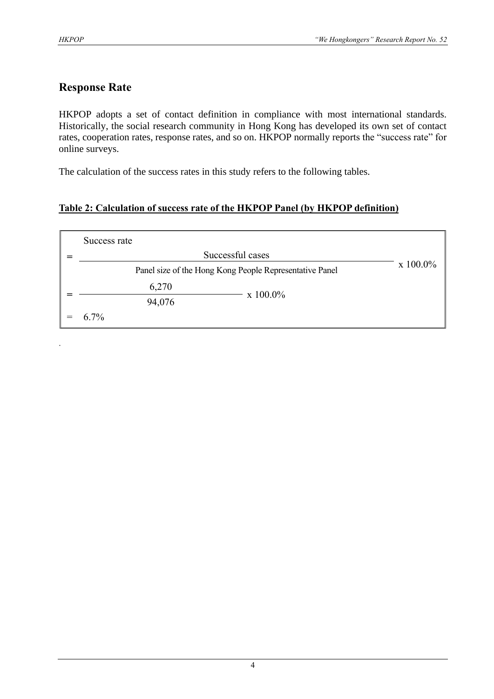.

# **Response Rate**

HKPOP adopts a set of contact definition in compliance with most international standards. Historically, the social research community in Hong Kong has developed its own set of contact rates, cooperation rates, response rates, and so on. HKPOP normally reports the "success rate" for online surveys.

The calculation of the success rates in this study refers to the following tables.

# **Table 2: Calculation of success rate of the HKPOP Panel (by HKPOP definition)**

| Success rate |                                                         |                  |
|--------------|---------------------------------------------------------|------------------|
|              | Successful cases                                        |                  |
|              | Panel size of the Hong Kong People Representative Panel | $\rm x\;100.0\%$ |
| 6,270        | x 100.0%                                                |                  |
| 94,076       |                                                         |                  |
| $6.7\%$      |                                                         |                  |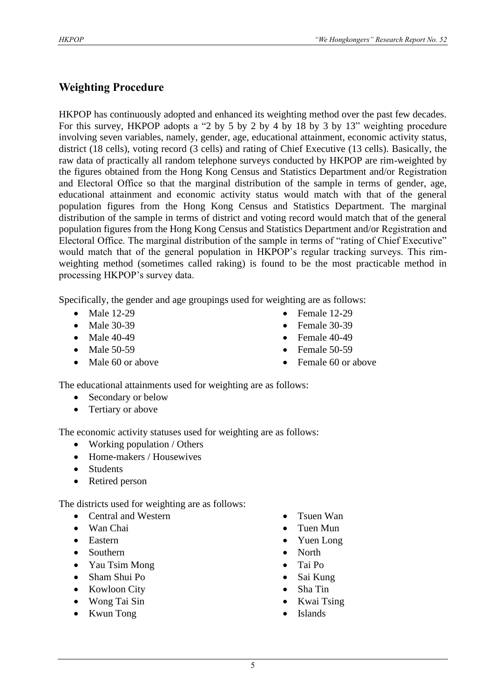# **Weighting Procedure**

HKPOP has continuously adopted and enhanced its weighting method over the past few decades. For this survey, HKPOP adopts a "2 by 5 by 2 by 4 by 18 by 3 by 13" weighting procedure involving seven variables, namely, gender, age, educational attainment, economic activity status, district (18 cells), voting record (3 cells) and rating of Chief Executive (13 cells). Basically, the raw data of practically all random telephone surveys conducted by HKPOP are rim-weighted by the figures obtained from the Hong Kong Census and Statistics Department and/or Registration and Electoral Office so that the marginal distribution of the sample in terms of gender, age, educational attainment and economic activity status would match with that of the general population figures from the Hong Kong Census and Statistics Department. The marginal distribution of the sample in terms of district and voting record would match that of the general population figures from the Hong Kong Census and Statistics Department and/or Registration and Electoral Office. The marginal distribution of the sample in terms of "rating of Chief Executive" would match that of the general population in HKPOP's regular tracking surveys. This rimweighting method (sometimes called raking) is found to be the most practicable method in processing HKPOP's survey data.

Specifically, the gender and age groupings used for weighting are as follows:

- Male 12-29
- Male 30-39
- Male 40-49
- Male 50-59
- Male 60 or above
- Female 12-29
- Female 30-39
- Female  $40-49$
- Female 50-59
- Female 60 or above

The educational attainments used for weighting are as follows:

- Secondary or below
- Tertiary or above

The economic activity statuses used for weighting are as follows:

- Working population / Others
- Home-makers / Housewives
- Students
- Retired person

The districts used for weighting are as follows:

- Central and Western
- Wan Chai
- Eastern
- Southern
- Yau Tsim Mong
- Sham Shui Po
- Kowloon City
- Wong Tai Sin
- Kwun Tong
- Tsuen Wan
- Tuen Mun
- Yuen Long
- North
- Tai Po
- Sai Kung
- Sha Tin
- Kwai Tsing
- **Islands**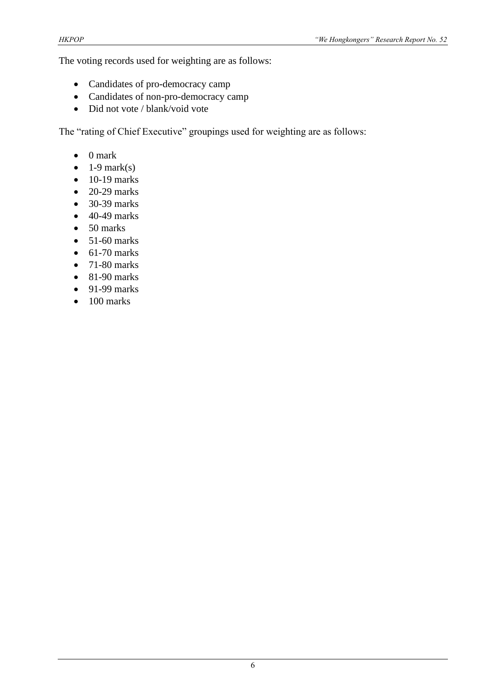The voting records used for weighting are as follows:

- Candidates of pro-democracy camp
- Candidates of non-pro-democracy camp
- Did not vote / blank/void vote

The "rating of Chief Executive" groupings used for weighting are as follows:

- 0 mark
- $\bullet$  1-9 mark(s)
- $\bullet$  10-19 marks
- $\bullet$  20-29 marks
- 30-39 marks
- $\bullet$  40-49 marks
- 50 marks
- $\bullet$  51-60 marks
- $\bullet$  61-70 marks
- $\bullet$  71-80 marks
- $\bullet$  81-90 marks
- $\bullet$  91-99 marks
- $\bullet$  100 marks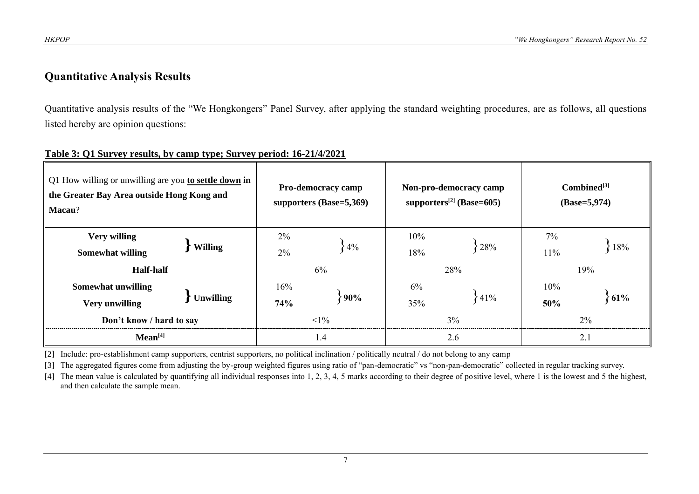# **Quantitative Analysis Results**

Quantitative analysis results of the "We Hongkongers" Panel Survey, after applying the standard weighting procedures, are as follows, all questions listed hereby are opinion questions:

| Q1 How willing or unwilling are you to settle down in<br>the Greater Bay Area outside Hong Kong and<br>Macau? |                  |             | Pro-democracy camp<br>supporters $(Base=5,369)$ |            | Non-pro-democracy camp<br>supporters <sup>[2]</sup> (Base=605) | $Combined^{[3]}$<br>$(Base=5,974)$ |        |  |
|---------------------------------------------------------------------------------------------------------------|------------------|-------------|-------------------------------------------------|------------|----------------------------------------------------------------|------------------------------------|--------|--|
| <b>Very willing</b><br><b>Somewhat willing</b>                                                                | <b>Willing</b>   | $2\%$<br>2% | $-4\%$                                          | 10%<br>18% | 28%                                                            | 7%<br>11%                          | ${18%$ |  |
| <b>Half-half</b>                                                                                              |                  |             | 6%                                              |            | 28%                                                            | 19%                                |        |  |
| <b>Somewhat unwilling</b>                                                                                     |                  | 16%         |                                                 | 6%         |                                                                | 10%                                |        |  |
| <b>Very unwilling</b>                                                                                         | <b>Unwilling</b> | 74%         | 90%                                             | 35%        | ${41%$                                                         | 50%                                | 61%    |  |
| Don't know / hard to say                                                                                      |                  | ${<}1\%$    |                                                 | $3\%$      | 2%                                                             |                                    |        |  |
| Mean <sup>[4]</sup>                                                                                           |                  | 1.4         |                                                 | 2.6        | 2.1                                                            |                                    |        |  |

#### **Table 3: Q1 Survey results, by camp type; Survey period: 16-21/4/2021**

[2] Include: pro-establishment camp supporters, centrist supporters, no political inclination / politically neutral / do not belong to any camp

[3] The aggregated figures come from adjusting the by-group weighted figures using ratio of "pan-democratic" vs "non-pan-democratic" collected in regular tracking survey.

[4] The mean value is calculated by quantifying all individual responses into 1, 2, 3, 4, 5 marks according to their degree of positive level, where 1 is the lowest and 5 the highest, and then calculate the sample mean.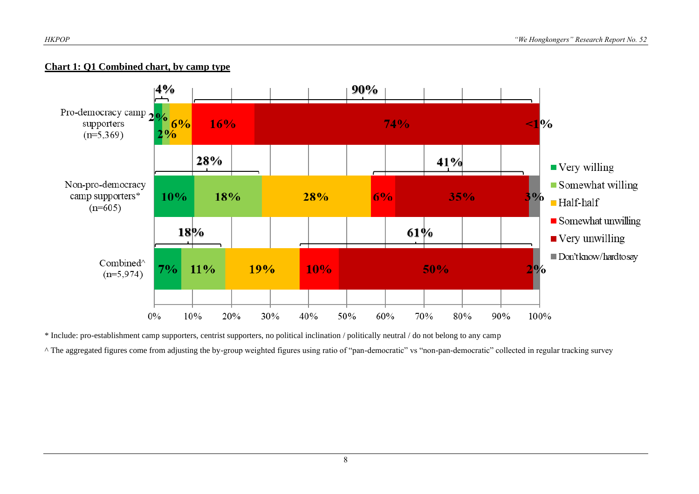#### **Chart 1: Q1 Combined chart, by camp type**



\* Include: pro-establishment camp supporters, centrist supporters, no political inclination / politically neutral / do not belong to any camp

^ The aggregated figures come from adjusting the by-group weighted figures using ratio of "pan-democratic" vs "non-pan-democratic" collected in regular tracking survey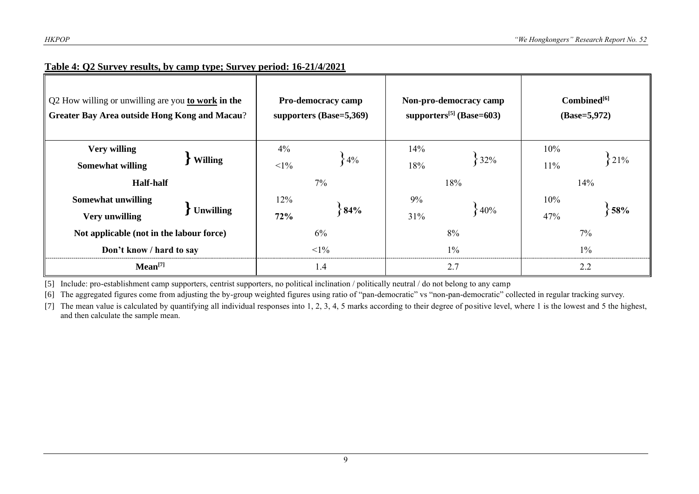| Q2 How willing or unwilling are you <b>to work in the</b><br><b>Greater Bay Area outside Hong Kong and Macau?</b> |                  |                   | Pro-democracy camp<br>supporters (Base=5,369) |       | Non-pro-democracy camp<br>supporters $[5]$ (Base=603) | $Combined^{[6]}$<br>$(Base=5,972)$ |     |  |
|-------------------------------------------------------------------------------------------------------------------|------------------|-------------------|-----------------------------------------------|-------|-------------------------------------------------------|------------------------------------|-----|--|
| <b>Very willing</b>                                                                                               |                  | 4%                |                                               | 14%   | 32%                                                   | 10%                                | 21% |  |
| <b>Somewhat willing</b>                                                                                           | <b>Willing</b>   | $<1\%$            | $4\%$                                         | 18%   |                                                       | $11\%$                             |     |  |
| <b>Half-half</b>                                                                                                  |                  |                   | $7\%$                                         |       | 18%                                                   |                                    | 14% |  |
| <b>Somewhat unwilling</b>                                                                                         |                  | 12%<br>84%<br>72% |                                               | 9%    |                                                       |                                    |     |  |
| <b>Very unwilling</b>                                                                                             | <b>Unwilling</b> |                   |                                               | 31%   | $\{40\%$                                              | 47%                                | 58% |  |
| Not applicable (not in the labour force)                                                                          |                  | 6%                |                                               | 8%    | 7%                                                    |                                    |     |  |
| Don't know / hard to say                                                                                          | $1\%$            |                   |                                               | $1\%$ | $1\%$                                                 |                                    |     |  |
| Mean <sup>[7]</sup>                                                                                               |                  | 1.4               |                                               | 2.7   | 2.2                                                   |                                    |     |  |

#### **Table 4: Q2 Survey results, by camp type; Survey period: 16-21/4/2021**

[5] Include: pro-establishment camp supporters, centrist supporters, no political inclination / politically neutral / do not belong to any camp

[6] The aggregated figures come from adjusting the by-group weighted figures using ratio of "pan-democratic" vs "non-pan-democratic" collected in regular tracking survey.

[7] The mean value is calculated by quantifying all individual responses into 1, 2, 3, 4, 5 marks according to their degree of positive level, where 1 is the lowest and 5 the highest, and then calculate the sample mean.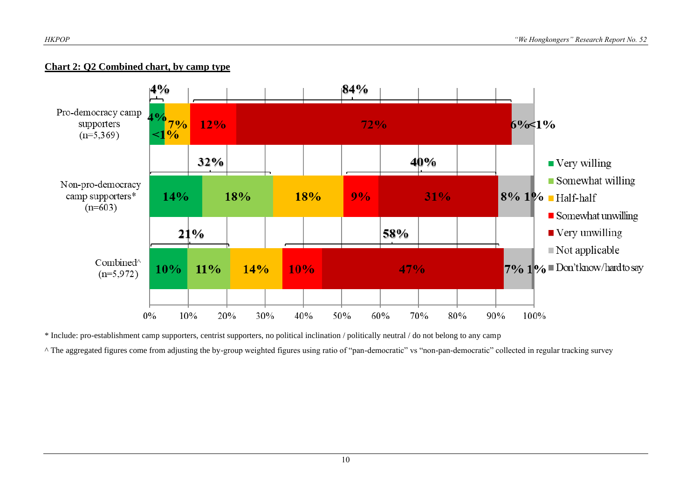#### **Chart 2: Q2 Combined chart, by camp type**



\* Include: pro-establishment camp supporters, centrist supporters, no political inclination / politically neutral / do not belong to any camp

^ The aggregated figures come from adjusting the by-group weighted figures using ratio of "pan-democratic" vs "non-pan-democratic" collected in regular tracking survey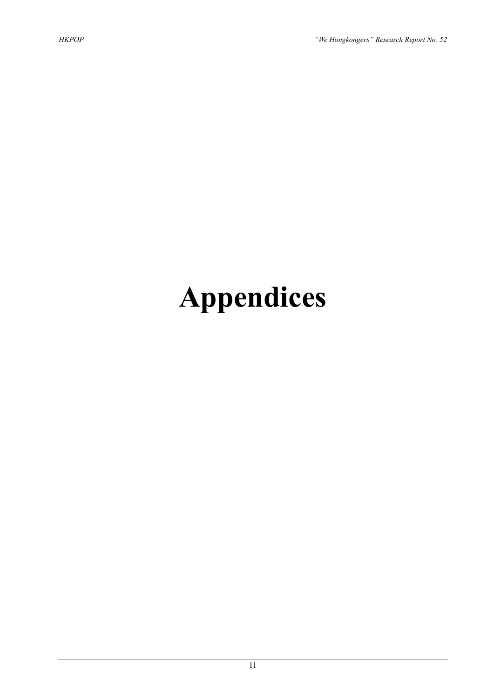# **Appendices**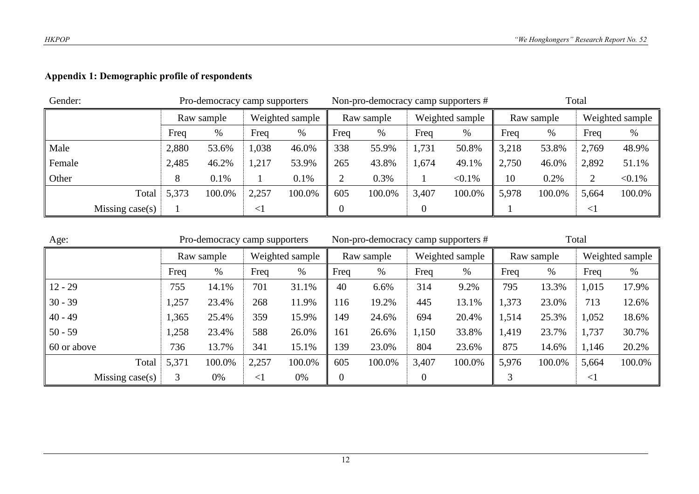# **Appendix 1: Demographic profile of respondents**

| Gender: |                    |       | Pro-democracy camp supporters |        |                 |      |            |           | Non-pro-democracy camp supporters # | Total |            |        |                 |  |
|---------|--------------------|-------|-------------------------------|--------|-----------------|------|------------|-----------|-------------------------------------|-------|------------|--------|-----------------|--|
|         |                    |       | Raw sample                    |        | Weighted sample |      | Raw sample |           | Weighted sample                     |       | Raw sample |        | Weighted sample |  |
|         | Freq               |       | %                             | Freq   | %               | Freq | %          | Freq<br>% |                                     | Freq  | $\%$       | Freq   | $\%$            |  |
| Male    |                    | 2,880 | 53.6%                         | 1,038  | 46.0%           | 338  | 55.9%      | 1,731     | 50.8%                               | 3,218 | 53.8%      | 2,769  | 48.9%           |  |
| Female  |                    | 2,485 | 46.2%                         | ,217   | 53.9%           | 265  | 43.8%      | 1,674     | 49.1%                               | 2,750 | 46.0%      | 2,892  | 51.1%           |  |
| Other   |                    | ◠     | 0.1%                          |        | 0.1%            |      | 0.3%       |           | $< 0.1\%$                           | 10    | 0.2%       | 2      | $< 0.1\%$       |  |
|         | Total              | 5,373 | 100.0%                        | 2,257  | 100.0%          | 605  | 100.0%     | 3,407     | 100.0%                              | 5,978 | 100.0%     | 5,664  | 100.0%          |  |
|         | Missing case $(s)$ |       |                               | $\leq$ |                 |      |            |           |                                     |       |            | $\leq$ |                 |  |

| Age:            |       | Pro-democracy camp supporters |                 |        |      | Non-pro-democracy camp supporters # |       |                 | Total |            |        |                 |
|-----------------|-------|-------------------------------|-----------------|--------|------|-------------------------------------|-------|-----------------|-------|------------|--------|-----------------|
|                 |       | Raw sample                    | Weighted sample |        |      | Raw sample                          |       | Weighted sample |       | Raw sample |        | Weighted sample |
| Freq            |       | $\%$                          | Freq            | $\%$   | Freq | %                                   | Freq  | %               | Freq  | $\%$       | Freq   | %               |
| $12 - 29$       | 755   | 14.1%                         | 701             | 31.1%  | 40   | 6.6%                                | 314   | 9.2%            | 795   | 13.3%      | 1,015  | 17.9%           |
| $30 - 39$       | 1,257 | 23.4%                         | 268             | 11.9%  | 116  | 19.2%                               | 445   | 13.1%           | 1,373 | 23.0%      | 713    | 12.6%           |
| $40 - 49$       | 1,365 | 25.4%                         | 359             | 15.9%  | 149  | 24.6%                               | 694   | 20.4%           | 1,514 | 25.3%      | 1,052  | 18.6%           |
| $50 - 59$       | 1,258 | 23.4%                         | 588             | 26.0%  | 161  | 26.6%                               | 1,150 | 33.8%           | 1,419 | 23.7%      | 1,737  | 30.7%           |
| 60 or above     | 736   | 13.7%                         | 341             | 15.1%  | 139  | 23.0%                               | 804   | 23.6%           | 875   | 14.6%      | 1,146  | 20.2%           |
| Total           | 5,371 | 100.0%                        | 2,257           | 100.0% | 605  | 100.0%                              | 3,407 | 100.0%          | 5,976 | 100.0%     | 5,664  | 100.0%          |
| Missing case(s) | 3     | 0%                            | $<$ 1           | 0%     | 0    |                                     |       |                 |       |            | $\leq$ |                 |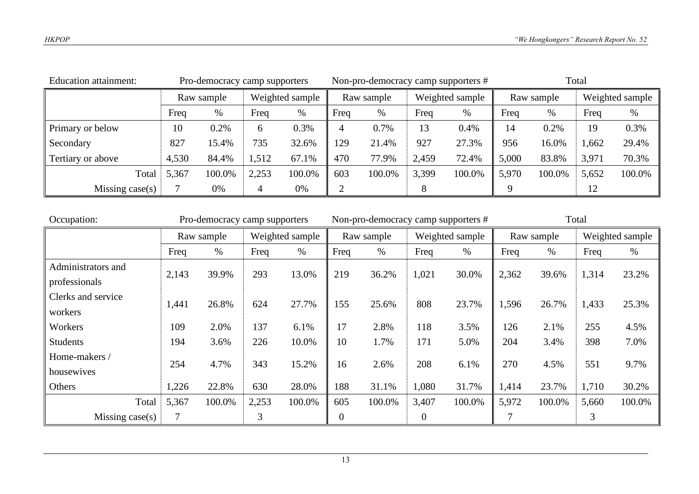| Education attainment: |                           | Pro-democracy camp supporters |       |                 |      |            |       | Non-pro-democracy camp supporters # | Total |            |                 |        |  |
|-----------------------|---------------------------|-------------------------------|-------|-----------------|------|------------|-------|-------------------------------------|-------|------------|-----------------|--------|--|
|                       |                           | Raw sample                    |       | Weighted sample |      | Raw sample |       | Weighted sample                     |       | Raw sample | Weighted sample |        |  |
|                       | Freq<br>Freq<br>$\%$<br>% |                               |       | Freq            | $\%$ | Freq       | %     | Freq                                | %     | Freq       | $\%$            |        |  |
| Primary or below      | 10                        | 0.2%                          | 6     | 0.3%            |      | 0.7%       | 13    | 0.4%                                | 14    | 0.2%       | 19              | 0.3%   |  |
| Secondary             | 827                       | 15.4%                         | 735   | 32.6%           | 129  | 21.4%      | 927   | 27.3%                               | 956   | 16.0%      | 1,662           | 29.4%  |  |
| Tertiary or above     | 4,530                     | 84.4%                         | 1,512 | 67.1%           | 470  | 77.9%      | 2,459 | 72.4%                               | 5,000 | 83.8%      | 3,971           | 70.3%  |  |
| Total                 | 5,367                     | 100.0%                        | 2,253 | 100.0%          | 603  | 100.0%     | 3,399 | 100.0%                              | 5,970 | 100.0%     | 5,652           | 100.0% |  |
| Missing case(s)       |                           | 0%                            |       | 0%              |      |            |       |                                     |       |            | 12              |        |  |

| Occupation:        |       | Pro-democracy camp supporters |       |                 |      | Non-pro-democracy camp supporters # |                  |                 | Total |            |       |                 |
|--------------------|-------|-------------------------------|-------|-----------------|------|-------------------------------------|------------------|-----------------|-------|------------|-------|-----------------|
|                    |       | Raw sample                    |       | Weighted sample |      | Raw sample                          |                  | Weighted sample |       | Raw sample |       | Weighted sample |
|                    | Freq  | $\%$                          | Freq  | $\%$            | Freq | $\%$                                | Freq             | $\%$            | Freq  | $\%$       | Freq  | $\%$            |
| Administrators and | 2,143 | 39.9%                         | 293   | 13.0%           | 219  | 36.2%                               | 1,021            | 30.0%           | 2,362 | 39.6%      | 1,314 | 23.2%           |
| professionals      |       |                               |       |                 |      |                                     |                  |                 |       |            |       |                 |
| Clerks and service | 1,441 | 26.8%                         | 624   | 27.7%           | 155  | 25.6%                               | 808              | 23.7%           | 1,596 | 26.7%      | 1,433 | 25.3%           |
| workers            |       |                               |       |                 |      |                                     |                  |                 |       |            |       |                 |
| Workers            | 109   | 2.0%                          | 137   | 6.1%            | 17   | 2.8%                                | 118              | 3.5%            | 126   | 2.1%       | 255   | 4.5%            |
| <b>Students</b>    | 194   | 3.6%                          | 226   | 10.0%           | 10   | 1.7%                                | 171              | 5.0%            | 204   | 3.4%       | 398   | 7.0%            |
| Home-makers /      | 254   | 4.7%                          | 343   | 15.2%           | 16   | 2.6%                                | 208              | 6.1%            | 270   | 4.5%       | 551   | 9.7%            |
| housewives         |       |                               |       |                 |      |                                     |                  |                 |       |            |       |                 |
| Others             | 1,226 | 22.8%                         | 630   | 28.0%           | 188  | 31.1%                               | 1,080            | 31.7%           | 1,414 | 23.7%      | 1,710 | 30.2%           |
| Total              | 5,367 | 100.0%                        | 2,253 | 100.0%          | 605  | 100.0%                              | 3,407            | 100.0%          | 5,972 | 100.0%     | 5,660 | 100.0%          |
| Missing $case(s)$  |       |                               | 3     |                 | 0    |                                     | $\boldsymbol{0}$ |                 |       |            | 3     |                 |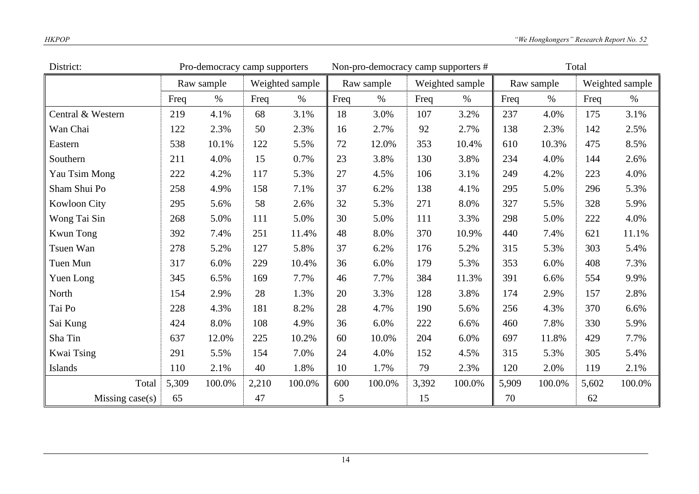| District:           | Pro-democracy camp supporters |            |       |                 |      | Non-pro-democracy camp supporters # |       |                 | Total |            |       |                 |
|---------------------|-------------------------------|------------|-------|-----------------|------|-------------------------------------|-------|-----------------|-------|------------|-------|-----------------|
|                     |                               | Raw sample |       | Weighted sample |      | Raw sample                          |       | Weighted sample |       | Raw sample |       | Weighted sample |
|                     | Freq                          | $\%$       | Freq  | $\%$            | Freq | $\%$                                | Freq  | $\%$            | Freq  | $\%$       | Freq  | $\%$            |
| Central & Western   | 219                           | 4.1%       | 68    | 3.1%            | 18   | 3.0%                                | 107   | 3.2%            | 237   | 4.0%       | 175   | 3.1%            |
| Wan Chai            | 122                           | 2.3%       | 50    | 2.3%            | 16   | 2.7%                                | 92    | 2.7%            | 138   | 2.3%       | 142   | 2.5%            |
| Eastern             | 538                           | 10.1%      | 122   | 5.5%            | 72   | 12.0%                               | 353   | 10.4%           | 610   | 10.3%      | 475   | 8.5%            |
| Southern            | 211                           | 4.0%       | 15    | 0.7%            | 23   | 3.8%                                | 130   | 3.8%            | 234   | 4.0%       | 144   | 2.6%            |
| Yau Tsim Mong       | 222                           | 4.2%       | 117   | 5.3%            | 27   | 4.5%                                | 106   | 3.1%            | 249   | 4.2%       | 223   | 4.0%            |
| Sham Shui Po        | 258                           | 4.9%       | 158   | 7.1%            | 37   | 6.2%                                | 138   | 4.1%            | 295   | 5.0%       | 296   | 5.3%            |
| <b>Kowloon City</b> | 295                           | 5.6%       | 58    | 2.6%            | 32   | 5.3%                                | 271   | 8.0%            | 327   | 5.5%       | 328   | 5.9%            |
| Wong Tai Sin        | 268                           | 5.0%       | 111   | 5.0%            | 30   | 5.0%                                | 111   | 3.3%            | 298   | 5.0%       | 222   | 4.0%            |
| <b>Kwun Tong</b>    | 392                           | 7.4%       | 251   | 11.4%           | 48   | 8.0%                                | 370   | 10.9%           | 440   | 7.4%       | 621   | 11.1%           |
| Tsuen Wan           | 278                           | 5.2%       | 127   | 5.8%            | 37   | 6.2%                                | 176   | 5.2%            | 315   | 5.3%       | 303   | 5.4%            |
| Tuen Mun            | 317                           | 6.0%       | 229   | 10.4%           | 36   | 6.0%                                | 179   | 5.3%            | 353   | 6.0%       | 408   | 7.3%            |
| Yuen Long           | 345                           | 6.5%       | 169   | 7.7%            | 46   | 7.7%                                | 384   | 11.3%           | 391   | 6.6%       | 554   | 9.9%            |
| North               | 154                           | 2.9%       | 28    | 1.3%            | 20   | 3.3%                                | 128   | 3.8%            | 174   | 2.9%       | 157   | 2.8%            |
| Tai Po              | 228                           | 4.3%       | 181   | 8.2%            | 28   | 4.7%                                | 190   | 5.6%            | 256   | 4.3%       | 370   | 6.6%            |
| Sai Kung            | 424                           | 8.0%       | 108   | 4.9%            | 36   | 6.0%                                | 222   | 6.6%            | 460   | 7.8%       | 330   | 5.9%            |
| Sha Tin             | 637                           | 12.0%      | 225   | 10.2%           | 60   | 10.0%                               | 204   | 6.0%            | 697   | 11.8%      | 429   | 7.7%            |
| Kwai Tsing          | 291                           | 5.5%       | 154   | 7.0%            | 24   | 4.0%                                | 152   | 4.5%            | 315   | 5.3%       | 305   | 5.4%            |
| Islands             | 110                           | 2.1%       | 40    | 1.8%            | 10   | 1.7%                                | 79    | 2.3%            | 120   | 2.0%       | 119   | 2.1%            |
| Total               | 5,309                         | 100.0%     | 2,210 | 100.0%          | 600  | 100.0%                              | 3,392 | 100.0%          | 5,909 | 100.0%     | 5,602 | 100.0%          |
| Missing case(s)     | 65                            |            | 47    |                 | 5    |                                     | 15    |                 | 70    |            | 62    |                 |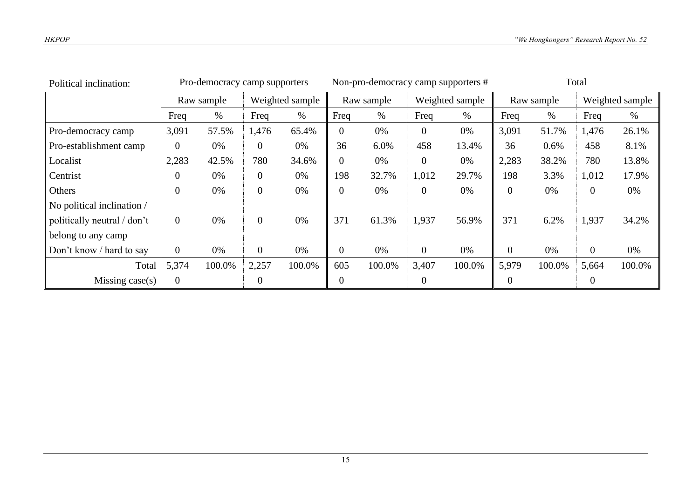| Political inclination:      |                | Pro-democracy camp supporters |                  |                 | Non-pro-democracy camp supporters # |            |                |                 | Total          |            |                  |                 |
|-----------------------------|----------------|-------------------------------|------------------|-----------------|-------------------------------------|------------|----------------|-----------------|----------------|------------|------------------|-----------------|
|                             |                | Raw sample                    |                  | Weighted sample |                                     | Raw sample |                | Weighted sample |                | Raw sample |                  | Weighted sample |
|                             | Freq           | %                             | Freq             | %               | Freq                                | %          | Freq           | $\%$            | Freq           | $\%$       | Freq             | %               |
| Pro-democracy camp          | 3,091          | 57.5%                         | 1,476            | 65.4%           | $\overline{0}$                      | 0%         | $\theta$       | 0%              | 3,091          | 51.7%      | 1,476            | 26.1%           |
| Pro-establishment camp      | $\overline{0}$ | 0%                            | $\theta$         | 0%              | 36                                  | 6.0%       | 458            | 13.4%           | 36             | 0.6%       | 458              | 8.1%            |
| Localist                    | 2,283          | 42.5%                         | 780              | 34.6%           | 0                                   | 0%         | $\overline{0}$ | 0%              | 2,283          | 38.2%      | 780              | 13.8%           |
| Centrist                    | 0              | 0%                            | $\boldsymbol{0}$ | 0%              | 198                                 | 32.7%      | 1,012          | 29.7%           | 198            | 3.3%       | 1,012            | 17.9%           |
| Others                      | $\overline{0}$ | 0%                            | $\overline{0}$   | 0%              | 0                                   | 0%         | $\theta$       | 0%              | $\overline{0}$ | 0%         | $\theta$         | 0%              |
| No political inclination /  |                |                               |                  |                 |                                     |            |                |                 |                |            |                  |                 |
| politically neutral / don't | $\overline{0}$ | 0%                            | $\overline{0}$   | 0%              | 371                                 | 61.3%      | 1,937          | 56.9%           | 371            | 6.2%       | 1,937            | 34.2%           |
| belong to any camp          |                |                               |                  |                 |                                     |            |                |                 |                |            |                  |                 |
| Don't know / hard to say    | $\overline{0}$ | 0%                            | $\overline{0}$   | 0%              | 0                                   | 0%         | $\overline{0}$ | 0%              | $\overline{0}$ | 0%         | $\boldsymbol{0}$ | 0%              |
| Total                       | 5,374          | 100.0%                        | 2,257            | 100.0%          | 605                                 | 100.0%     | 3,407          | 100.0%          | 5,979          | 100.0%     | 5,664            | 100.0%          |
| Missing $case(s)$           | $\overline{0}$ |                               | 0                |                 | 0                                   |            | 0              |                 | $\overline{0}$ |            | $\overline{0}$   |                 |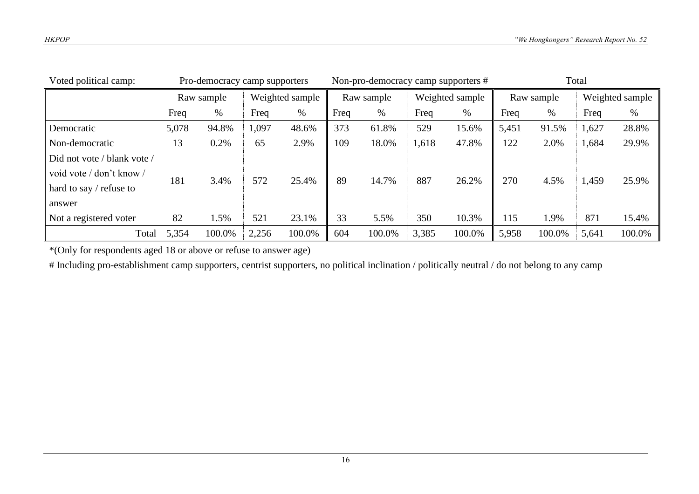| Voted political camp:                                                                |       | Pro-democracy camp supporters |       |                 | Non-pro-democracy camp supporters # |            |       |                 | Total |            |                 |        |
|--------------------------------------------------------------------------------------|-------|-------------------------------|-------|-----------------|-------------------------------------|------------|-------|-----------------|-------|------------|-----------------|--------|
|                                                                                      |       | Raw sample                    |       | Weighted sample |                                     | Raw sample |       | Weighted sample |       | Raw sample | Weighted sample |        |
|                                                                                      | Freq  | %                             | Freq  | $\%$            | Freq                                | %          | Freq  | $\%$            | Freq  | %          | Freq            | $\%$   |
| Democratic                                                                           | 5,078 | 94.8%                         | 1,097 | 48.6%           | 373                                 | 61.8%      | 529   | 15.6%           | 5,451 | 91.5%      | 1,627           | 28.8%  |
| Non-democratic                                                                       | 13    | 0.2%                          | 65    | 2.9%            | 109                                 | 18.0%      | 1,618 | 47.8%           | 122   | 2.0%       | 1,684           | 29.9%  |
| Did not vote / blank vote /<br>void vote / don't know /<br>hard to say $/$ refuse to | 181   | 3.4%                          | 572   | 25.4%           | 89                                  | 14.7%      | 887   | 26.2%           | 270   | 4.5%       | 1,459           | 25.9%  |
| answer                                                                               |       |                               |       |                 |                                     |            |       |                 |       |            |                 |        |
| Not a registered voter                                                               | 82    | 1.5%                          | 521   | 23.1%           | 33                                  | 5.5%       | 350   | 10.3%           | 115   | 1.9%       | 871             | 15.4%  |
| Total                                                                                | 5,354 | 100.0%                        | 2,256 | 100.0%          | 604                                 | 100.0%     | 3,385 | 100.0%          | 5,958 | 100.0%     | 5,641           | 100.0% |

\*(Only for respondents aged 18 or above or refuse to answer age)

# Including pro-establishment camp supporters, centrist supporters, no political inclination / politically neutral / do not belong to any camp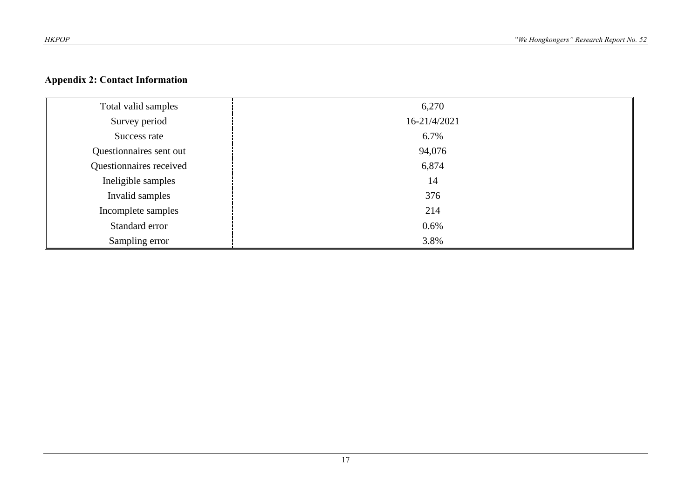# **Appendix 2: Contact Information**

| Total valid samples     | 6,270        |
|-------------------------|--------------|
| Survey period           | 16-21/4/2021 |
| Success rate            | 6.7%         |
| Questionnaires sent out | 94,076       |
| Questionnaires received | 6,874        |
| Ineligible samples      | 14           |
| Invalid samples         | 376          |
| Incomplete samples      | 214          |
| Standard error          | 0.6%         |
| Sampling error          | 3.8%         |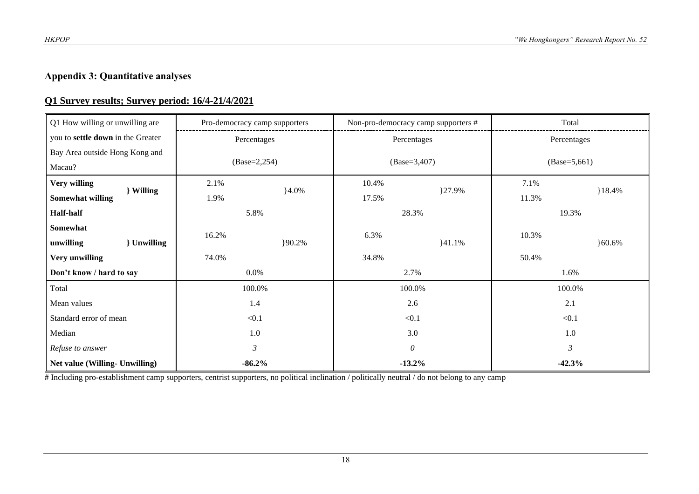# **Appendix 3: Quantitative analyses**

## **Q1 Survey results; Survey period: 16/4-21/4/2021**

| Q1 How willing or unwilling are    | Pro-democracy camp supporters |          | Non-pro-democracy camp supporters # |        | Total          |          |
|------------------------------------|-------------------------------|----------|-------------------------------------|--------|----------------|----------|
| you to settle down in the Greater  | Percentages                   |          | Percentages                         |        | Percentages    |          |
| Bay Area outside Hong Kong and     |                               |          |                                     |        |                |          |
| Macau?                             | $(Base=2,254)$                |          | $(Base=3,407)$                      |        | $(Base=5,661)$ |          |
| Very willing<br>Willing            | 2.1%                          | $4.0\%$  | 10.4%                               | 127.9% | 7.1%           | 18.4%    |
| <b>Somewhat willing</b>            | 1.9%                          |          | 17.5%                               |        | 11.3%          |          |
| <b>Half-half</b>                   | 5.8%                          |          | 28.3%                               |        | 19.3%          |          |
| Somewhat                           | 16.2%                         |          | 6.3%                                |        | 10.3%          |          |
| <b>Unwilling</b><br>unwilling      |                               | $90.2\%$ |                                     | 141.1% |                | $60.6\%$ |
| Very unwilling                     | 74.0%                         |          | 34.8%                               |        | 50.4%          |          |
| Don't know / hard to say           | $0.0\%$                       |          | 2.7%                                |        | 1.6%           |          |
| Total                              | 100.0%                        |          | 100.0%                              |        | 100.0%         |          |
| Mean values                        | 1.4                           |          | 2.6                                 |        | 2.1            |          |
| Standard error of mean<br>< 0.1    |                               | < 0.1    |                                     | < 0.1  |                |          |
| Median<br>1.0                      |                               | 3.0      |                                     | 1.0    |                |          |
| $\mathfrak{Z}$<br>Refuse to answer |                               |          | $\theta$                            |        | 3              |          |
| Net value (Willing- Unwilling)     | $-86.2%$                      |          | $-13.2%$                            |        | $-42.3%$       |          |

# Including pro-establishment camp supporters, centrist supporters, no political inclination / politically neutral / do not belong to any camp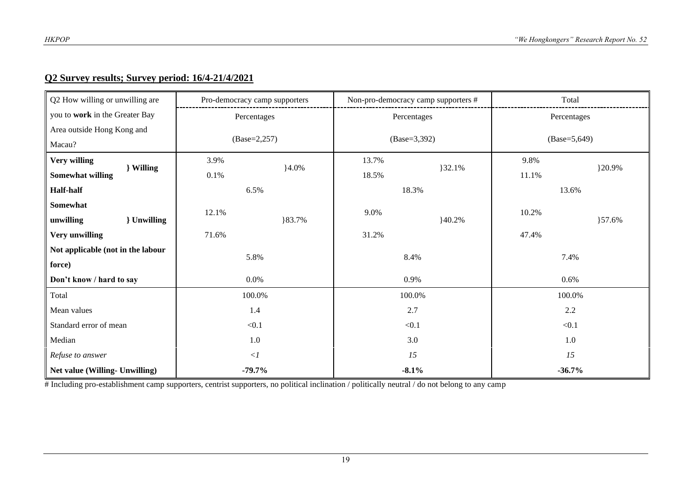## **Q2 Survey results; Survey period: 16/4-21/4/2021**

| Q2 How willing or unwilling are      | Pro-democracy camp supporters |         | Non-pro-democracy camp supporters # |       | Total           |        |  |
|--------------------------------------|-------------------------------|---------|-------------------------------------|-------|-----------------|--------|--|
| you to work in the Greater Bay       | Percentages                   |         | Percentages                         |       | Percentages     |        |  |
| Area outside Hong Kong and           |                               |         |                                     |       |                 |        |  |
| Macau?                               | $(Base=2,257)$                |         | $(Base=3,392)$                      |       | $(Base=5, 649)$ |        |  |
| Very willing                         | 3.9%                          |         | 13.7%                               |       | 9.8%            |        |  |
| } Willing<br><b>Somewhat willing</b> | 0.1%                          | $4.0\%$ | 18.5%                               | 32.1% | 11.1%           | }20.9% |  |
| <b>Half-half</b>                     | 6.5%                          |         | 18.3%                               |       | 13.6%           |        |  |
| Somewhat                             |                               |         |                                     |       |                 |        |  |
| } Unwilling<br>unwilling             | 12.1%                         | }83.7%  | 9.0%                                | 40.2% | 10.2%           | }57.6% |  |
| Very unwilling                       | 71.6%                         |         | 31.2%                               |       | 47.4%           |        |  |
| Not applicable (not in the labour    | 5.8%                          |         | 8.4%                                |       | 7.4%            |        |  |
| force)                               |                               |         |                                     |       |                 |        |  |
| Don't know / hard to say             | 0.0%                          |         | 0.9%                                |       | 0.6%            |        |  |
| Total                                | 100.0%                        |         | 100.0%                              |       | 100.0%          |        |  |
| Mean values                          | 1.4                           |         | 2.7                                 |       | $2.2\,$         |        |  |
| Standard error of mean               | $<0.1$                        |         | < 0.1                               |       | < 0.1           |        |  |
| Median<br>1.0                        |                               | 3.0     |                                     | 1.0   |                 |        |  |
| $\langle$ 1<br>Refuse to answer      |                               | 15      |                                     | 15    |                 |        |  |
| Net value (Willing- Unwilling)       | $-79.7%$                      |         | $-8.1%$                             |       | $-36.7%$        |        |  |

# Including pro-establishment camp supporters, centrist supporters, no political inclination / politically neutral / do not belong to any camp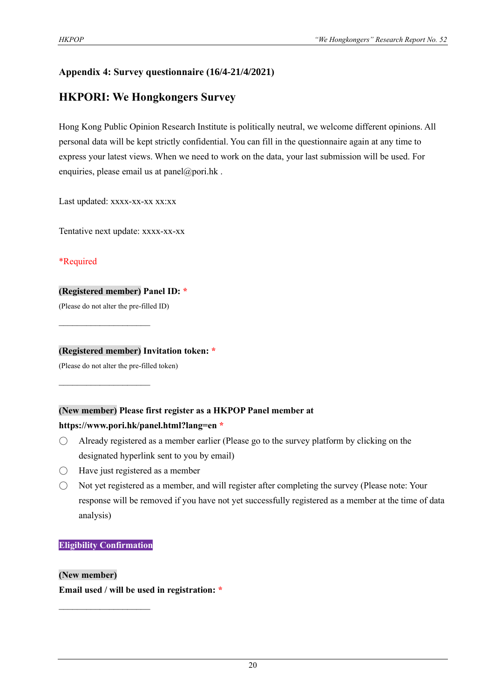# **Appendix 4: Survey questionnaire (16/4-21/4/2021)**

# **HKPORI: We Hongkongers Survey**

Hong Kong Public Opinion Research Institute is politically neutral, we welcome different opinions. All personal data will be kept strictly confidential. You can fill in the questionnaire again at any time to express your latest views. When we need to work on the data, your last submission will be used. For enquiries, please email us at panel@pori.hk.

Last updated: xxxx-xx-xx xx:xx

Tentative next update: xxxx-xx-xx

#### \*Required

#### **(Registered member) Panel ID: \***

(Please do not alter the pre-filled ID)

 $\mathcal{L}_\text{max}$  , where  $\mathcal{L}_\text{max}$ 

 $\mathcal{L}_\text{max}$  , where  $\mathcal{L}_\text{max}$ 

#### **(Registered member) Invitation token: \***

(Please do not alter the pre-filled token)

#### **(New member) Please first register as a HKPOP Panel member at**

#### **https://www.pori.hk/panel.html?lang=en \***

- $\bigcirc$  Already registered as a member earlier (Please go to the survey platform by clicking on the designated hyperlink sent to you by email)
- $\bigcirc$  Have just registered as a member
- Not yet registered as a member, and will register after completing the survey (Please note: Your response will be removed if you have not yet successfully registered as a member at the time of data analysis)

#### **Eligibility Confirmation**

 $\mathcal{L}_\text{max}$ 

**(New member) Email used / will be used in registration: \***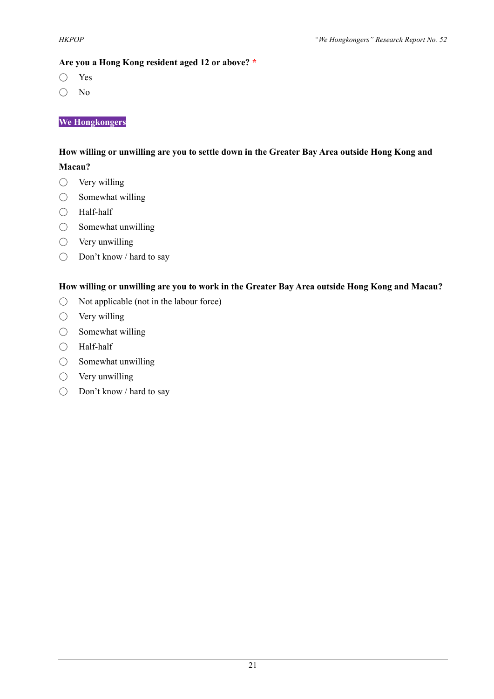#### **Are you a Hong Kong resident aged 12 or above? \***

- Yes
- No

#### **We Hongkongers**

#### **How willing or unwilling are you to settle down in the Greater Bay Area outside Hong Kong and**

#### **Macau?**

- $\bigcirc$  Very willing
- $\bigcirc$  Somewhat willing
- Half-half
- Somewhat unwilling
- $\bigcirc$  Very unwilling
- Don't know / hard to say

#### **How willing or unwilling are you to work in the Greater Bay Area outside Hong Kong and Macau?**

- Not applicable (not in the labour force)
- Very willing
- $\bigcirc$  Somewhat willing
- Half-half
- Somewhat unwilling
- Very unwilling
- Don't know / hard to say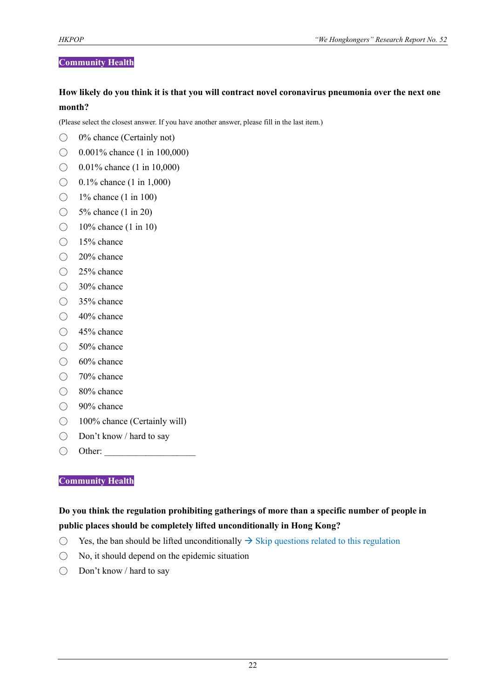#### **Community Health**

#### **How likely do you think it is that you will contract novel coronavirus pneumonia over the next one month?**

(Please select the closest answer. If you have another answer, please fill in the last item.)

- $\bigcirc$  0% chance (Certainly not)
- $\bigcirc$  0.001% chance (1 in 100,000)
- $\bigcirc$  0.01% chance (1 in 10,000)
- $\bigcirc$  0.1% chance (1 in 1,000)
- $\bigcirc$  1% chance (1 in 100)
- $\bigcirc$  5% chance (1 in 20)
- $\bigcirc$  10% chance (1 in 10)
- 15% chance
- 20% chance
- 25% chance
- 30% chance
- 35% chance
- $\bigcirc$  40% chance
- 45% chance
- 50% chance
- 60% chance
- 70% chance
- 80% chance
- 90% chance
- 100% chance (Certainly will)
- Don't know / hard to say
- $\bigcirc$  Other:

#### **Community Health**

## **Do you think the regulation prohibiting gatherings of more than a specific number of people in public places should be completely lifted unconditionally in Hong Kong?**

- $\bigcirc$  Yes, the ban should be lifted unconditionally  $\rightarrow$  Skip questions related to this regulation
- $\bigcirc$  No, it should depend on the epidemic situation
- Don't know / hard to say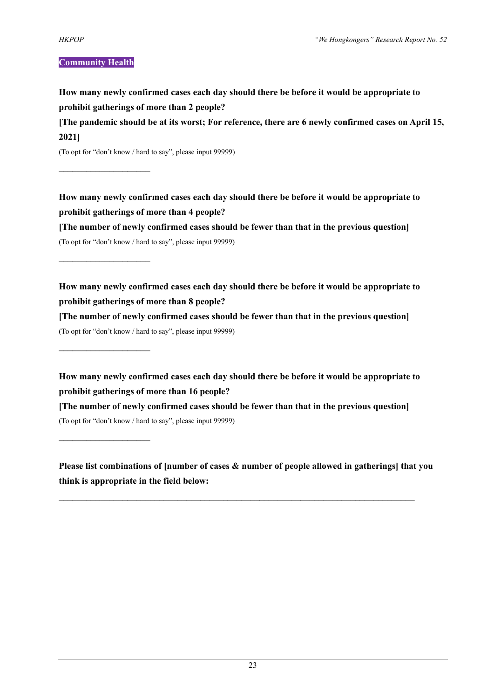#### **Community Health**

 $\mathcal{L}_\text{max}$ 

 $\mathcal{L}_\text{max}$ 

 $\mathcal{L}_\text{max}$ 

 $\mathcal{L}_\text{max}$ 

**How many newly confirmed cases each day should there be before it would be appropriate to prohibit gatherings of more than 2 people?**

**[The pandemic should be at its worst; For reference, there are 6 newly confirmed cases on April 15, 2021]**

(To opt for "don't know / hard to say", please input 99999)

**How many newly confirmed cases each day should there be before it would be appropriate to prohibit gatherings of more than 4 people?**

**[The number of newly confirmed cases should be fewer than that in the previous question]** (To opt for "don't know / hard to say", please input 99999)

**How many newly confirmed cases each day should there be before it would be appropriate to prohibit gatherings of more than 8 people?**

**[The number of newly confirmed cases should be fewer than that in the previous question]** (To opt for "don't know / hard to say", please input 99999)

**How many newly confirmed cases each day should there be before it would be appropriate to prohibit gatherings of more than 16 people?**

**[The number of newly confirmed cases should be fewer than that in the previous question]** (To opt for "don't know / hard to say", please input 99999)

**Please list combinations of [number of cases & number of people allowed in gatherings] that you think is appropriate in the field below:**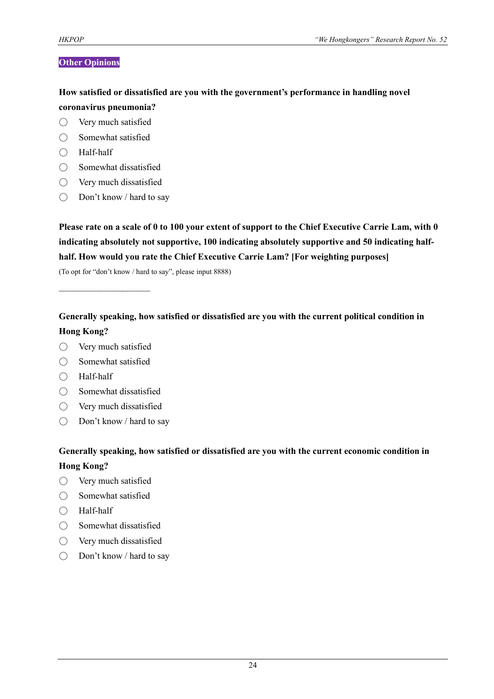#### **Other Opinions**

**How satisfied or dissatisfied are you with the government's performance in handling novel coronavirus pneumonia?**

- Very much satisfied
- Somewhat satisfied
- Half-half
- Somewhat dissatisfied
- $\bigcirc$  Very much dissatisfied
- Don't know / hard to say

**Please rate on a scale of 0 to 100 your extent of support to the Chief Executive Carrie Lam, with 0 indicating absolutely not supportive, 100 indicating absolutely supportive and 50 indicating halfhalf. How would you rate the Chief Executive Carrie Lam? [For weighting purposes]**

(To opt for "don't know / hard to say", please input 8888)

# **Generally speaking, how satisfied or dissatisfied are you with the current political condition in Hong Kong?**

○ Very much satisfied

 $\mathcal{L}_\text{max}$ 

- Somewhat satisfied
- Half-half
- Somewhat dissatisfied
- Very much dissatisfied
- Don't know / hard to say

# **Generally speaking, how satisfied or dissatisfied are you with the current economic condition in Hong Kong?**

- Very much satisfied
- Somewhat satisfied
- Half-half
- Somewhat dissatisfied
- Very much dissatisfied
- Don't know / hard to say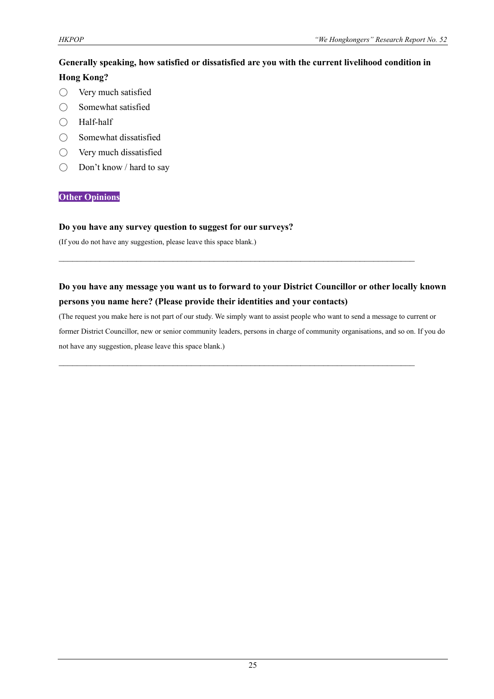# **Generally speaking, how satisfied or dissatisfied are you with the current livelihood condition in Hong Kong?**

- Very much satisfied
- Somewhat satisfied
- Half-half
- Somewhat dissatisfied
- Very much dissatisfied
- Don't know / hard to say

#### **Other Opinions**

#### **Do you have any survey question to suggest for our surveys?**

(If you do not have any suggestion, please leave this space blank.)

# **Do you have any message you want us to forward to your District Councillor or other locally known persons you name here? (Please provide their identities and your contacts)**

 $\mathcal{L}_\mathcal{L} = \{ \mathcal{L}_\mathcal{L} = \{ \mathcal{L}_\mathcal{L} = \{ \mathcal{L}_\mathcal{L} = \{ \mathcal{L}_\mathcal{L} = \{ \mathcal{L}_\mathcal{L} = \{ \mathcal{L}_\mathcal{L} = \{ \mathcal{L}_\mathcal{L} = \{ \mathcal{L}_\mathcal{L} = \{ \mathcal{L}_\mathcal{L} = \{ \mathcal{L}_\mathcal{L} = \{ \mathcal{L}_\mathcal{L} = \{ \mathcal{L}_\mathcal{L} = \{ \mathcal{L}_\mathcal{L} = \{ \mathcal{L}_\mathcal{$ 

 $\mathcal{L}_\mathcal{L} = \{ \mathcal{L}_\mathcal{L} = \{ \mathcal{L}_\mathcal{L} = \{ \mathcal{L}_\mathcal{L} = \{ \mathcal{L}_\mathcal{L} = \{ \mathcal{L}_\mathcal{L} = \{ \mathcal{L}_\mathcal{L} = \{ \mathcal{L}_\mathcal{L} = \{ \mathcal{L}_\mathcal{L} = \{ \mathcal{L}_\mathcal{L} = \{ \mathcal{L}_\mathcal{L} = \{ \mathcal{L}_\mathcal{L} = \{ \mathcal{L}_\mathcal{L} = \{ \mathcal{L}_\mathcal{L} = \{ \mathcal{L}_\mathcal{$ 

(The request you make here is not part of our study. We simply want to assist people who want to send a message to current or former District Councillor, new or senior community leaders, persons in charge of community organisations, and so on. If you do not have any suggestion, please leave this space blank.)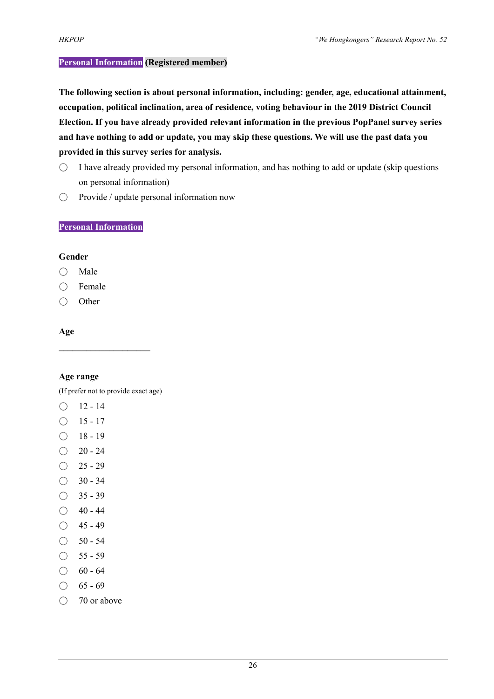#### **Personal Information (Registered member)**

**The following section is about personal information, including: gender, age, educational attainment, occupation, political inclination, area of residence, voting behaviour in the 2019 District Council Election. If you have already provided relevant information in the previous PopPanel survey series and have nothing to add or update, you may skip these questions. We will use the past data you provided in this survey series for analysis.**

- $\bigcirc$  I have already provided my personal information, and has nothing to add or update (skip questions on personal information)
- Provide / update personal information now

#### **Personal Information**

#### **Gender**

- Male
- Female
- Other

#### **Age**

#### **Age range**

(If prefer not to provide exact age)

 $\mathcal{L}_\text{max}$ 

- $O$  12 14
- $O$  15 17
- $\bigcirc$  18 19
- $\bigcirc$  20 24
- $\bigcirc$  25 29
- $\bigcirc$  30 34
- $\bigcirc$  35 39
- $\bigcirc$  40 44
- $O$  45 49
- $\bigcirc$  50 54
- $\bigcirc$  55 59
- $\bigcirc$  60 64
- $\bigcirc$  65 69
- 70 or above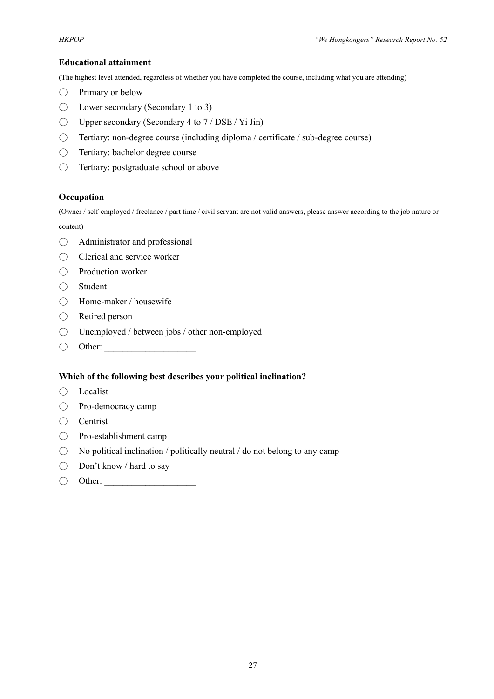#### **Educational attainment**

(The highest level attended, regardless of whether you have completed the course, including what you are attending)

- Primary or below
- Lower secondary (Secondary 1 to 3)
- $\bigcirc$  Upper secondary (Secondary 4 to 7 / DSE / Yi Jin)
- Tertiary: non-degree course (including diploma / certificate / sub-degree course)
- Tertiary: bachelor degree course
- Tertiary: postgraduate school or above

#### **Occupation**

(Owner / self-employed / freelance / part time / civil servant are not valid answers, please answer according to the job nature or content)

- Administrator and professional
- Clerical and service worker
- Production worker
- Student
- Home-maker / housewife
- Retired person
- Unemployed / between jobs / other non-employed
- $\bigcirc$  Other:

#### **Which of the following best describes your political inclination?**

- Localist
- Pro-democracy camp
- Centrist
- Pro-establishment camp
- $\bigcirc$  No political inclination / politically neutral / do not belong to any camp
- Don't know / hard to say
- $\bigcirc$  Other: